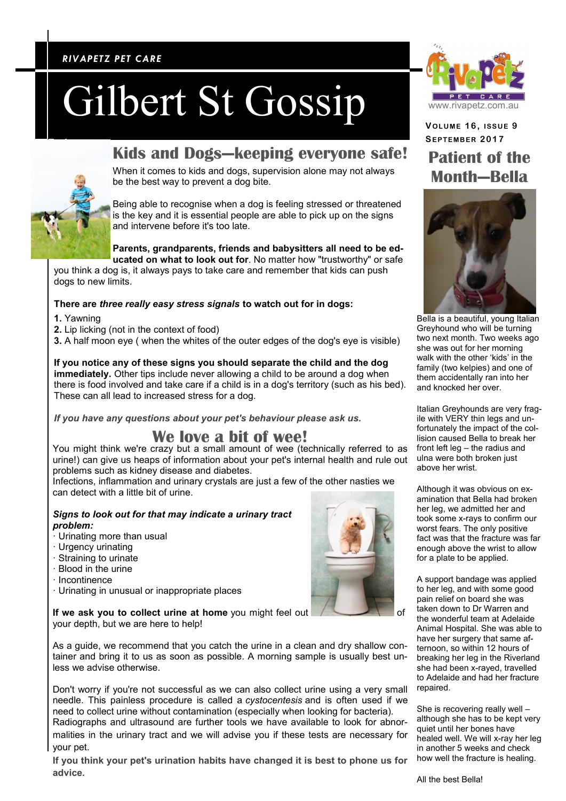### *RIVAPETZ PET CARE RIVAPETZ PET CARE*

# Gilbert St Gossip

## **Kids and Dogs—keeping everyone safe!**

When it comes to kids and dogs, supervision alone may not always be the best way to prevent a dog bite.

Being able to recognise when a dog is feeling stressed or threatened is the key and it is essential people are able to pick up on the signs and intervene before it's too late.

**Parents, grandparents, friends and babysitters all need to be ed-**

**ucated on what to look out for**. No matter how "trustworthy" or safe you think a dog is, it always pays to take care and remember that kids can push dogs to new limits.

#### **There are** *three really easy stress signals* **to watch out for in dogs:**

- **1.** Yawning
- **2.** Lip licking (not in the context of food)

**3.** A half moon eve ( when the whites of the outer edges of the dog's eve is visible)

#### **If you notice any of these signs you should separate the child and the dog**

**immediately.** Other tips include never allowing a child to be around a dog when there is food involved and take care if a child is in a dog's territory (such as his bed). These can all lead to increased stress for a dog.

*If you have any questions about your pet's behaviour please ask us.*

## **We love a bit of wee!**

You might think we're crazy but a small amount of wee (technically referred to as urine!) can give us heaps of information about your pet's internal health and rule out problems such as kidney disease and diabetes.

Infections, inflammation and urinary crystals are just a few of the other nasties we can detect with a little bit of urine.

#### *Signs to look out for that may indicate a urinary tract problem:*

- · Urinating more than usual
- · Urgency urinating
- · Straining to urinate
- · Blood in the urine
- · Incontinence
- · Urinating in unusual or inappropriate places

If we ask you to collect urine at home you might feel out your depth, but we are here to help!

As a guide, we recommend that you catch the urine in a clean and dry shallow container and bring it to us as soon as possible. A morning sample is usually best unless we advise otherwise.

Don't worry if you're not successful as we can also collect urine using a very small needle. This painless procedure is called a *cystocentesis* and is often used if we need to collect urine without contamination (especially when looking for bacteria).

Radiographs and ultrasound are further tools we have available to look for abnormalities in the urinary tract and we will advise you if these tests are necessary for your pet.

**If you think your pet's urination habits have changed it is best to phone us for advice.**



**VOLUME 1 6 , ISSUE 9 SEPTEMB ER 2017 Patient of the Month—Bella**



Bella is a beautiful, young Italian Greyhound who will be turning two next month. Two weeks ago she was out for her morning walk with the other 'kids' in the family (two kelpies) and one of them accidentally ran into her and knocked her over.

Italian Greyhounds are very fragile with VERY thin legs and unfortunately the impact of the collision caused Bella to break her front left leg – the radius and ulna were both broken just above her wrist.

Although it was obvious on examination that Bella had broken her leg, we admitted her and took some x-rays to confirm our worst fears. The only positive fact was that the fracture was far enough above the wrist to allow for a plate to be applied.

A support bandage was applied to her leg, and with some good pain relief on board she was taken down to Dr Warren and the wonderful team at Adelaide Animal Hospital. She was able to have her surgery that same afternoon, so within 12 hours of breaking her leg in the Riverland she had been x-rayed, travelled to Adelaide and had her fracture repaired.

She is recovering really well – although she has to be kept very quiet until her bones have healed well. We will x-ray her leg in another 5 weeks and check how well the fracture is healing.